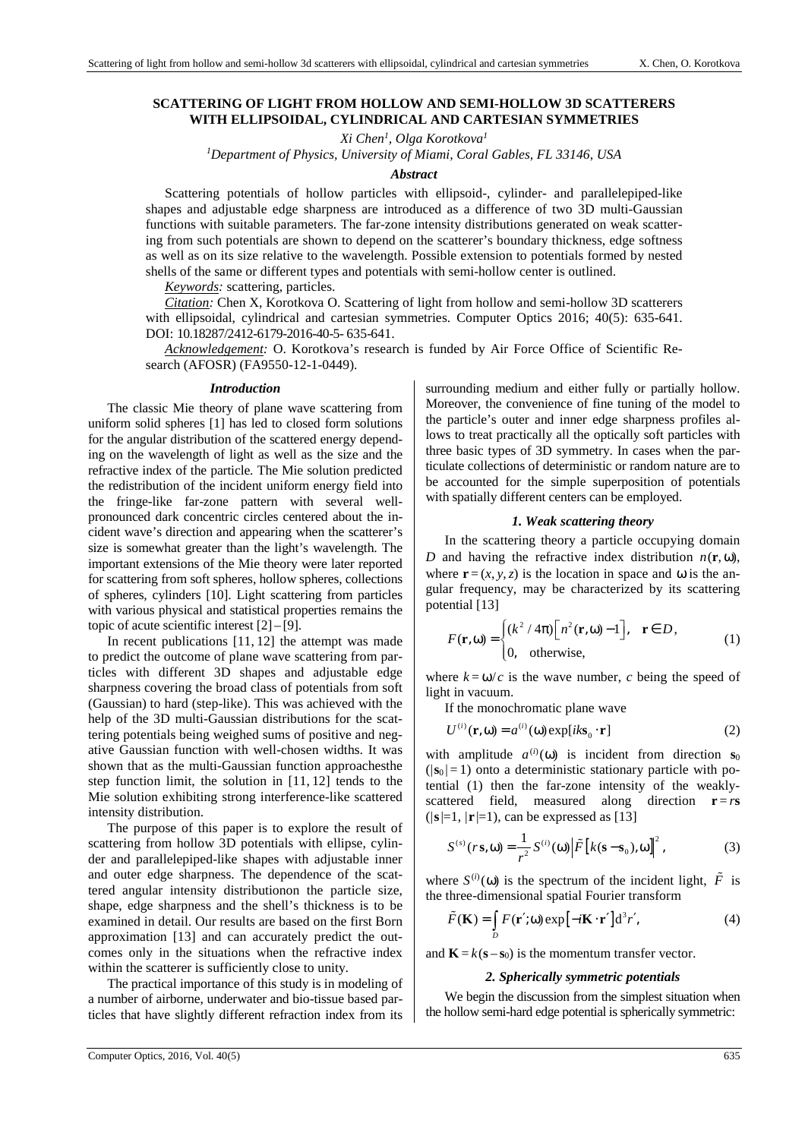# **SCATTERING OF LIGHT FROM HOLLOW AND SEMI-HOLLOW 3D SCATTERERS WITH ELLIPSOIDAL, CYLINDRICAL AND CARTESIAN SYMMETRIES**

*Xi Chen<sup>1</sup> , Olga Korotkova<sup>1</sup>* 

*<sup>1</sup>Department of Physics, University of Miami, Coral Gables, FL 33146, USA* 

### *Abstract*

Scattering potentials of hollow particles with ellipsoid-, cylinder- and parallelepiped-like shapes and adjustable edge sharpness are introduced as a difference of two 3D multi-Gaussian functions with suitable parameters. The far-zone intensity distributions generated on weak scattering from such potentials are shown to depend on the scatterer's boundary thickness, edge softness as well as on its size relative to the wavelength. Possible extension to potentials formed by nested shells of the same or different types and potentials with semi-hollow center is outlined.

*Keywords:* scattering, particles.

*Citation:* Chen X, Korotkova O. Scattering of light from hollow and semi-hollow 3D scatterers with ellipsoidal, cylindrical and cartesian symmetries. Computer Optics 2016; 40(5): 635-641. DOI: 10.18287/2412-6179-2016-40-5- 635-641.

*Acknowledgement:* O. Korotkova's research is funded by Air Force Office of Scientific Research (AFOSR) (FA9550-12-1-0449).

#### *Introduction*

The classic Mie theory of plane wave scattering from uniform solid spheres [1] has led to closed form solutions for the angular distribution of the scattered energy depending on the wavelength of light as well as the size and the refractive index of the particle. The Mie solution predicted the redistribution of the incident uniform energy field into the fringe-like far-zone pattern with several wellpronounced dark concentric circles centered about the incident wave's direction and appearing when the scatterer's size is somewhat greater than the light's wavelength. The important extensions of the Mie theory were later reported for scattering from soft spheres, hollow spheres, collections of spheres, cylinders [10]. Light scattering from particles with various physical and statistical properties remains the topic of acute scientific interest [2] – [9].

In recent publications [11, 12] the attempt was made to predict the outcome of plane wave scattering from particles with different 3D shapes and adjustable edge sharpness covering the broad class of potentials from soft (Gaussian) to hard (step-like). This was achieved with the help of the 3D multi-Gaussian distributions for the scattering potentials being weighed sums of positive and negative Gaussian function with well-chosen widths. It was shown that as the multi-Gaussian function approachesthe step function limit, the solution in [11, 12] tends to the Mie solution exhibiting strong interference-like scattered intensity distribution.

The purpose of this paper is to explore the result of scattering from hollow 3D potentials with ellipse, cylinder and parallelepiped-like shapes with adjustable inner and outer edge sharpness. The dependence of the scattered angular intensity distributionon the particle size, shape, edge sharpness and the shell's thickness is to be examined in detail. Our results are based on the first Born approximation [13] and can accurately predict the outcomes only in the situations when the refractive index within the scatterer is sufficiently close to unity.

The practical importance of this study is in modeling of a number of airborne, underwater and bio-tissue based particles that have slightly different refraction index from its surrounding medium and either fully or partially hollow. Moreover, the convenience of fine tuning of the model to the particle's outer and inner edge sharpness profiles allows to treat practically all the optically soft particles with three basic types of 3D symmetry. In cases when the particulate collections of deterministic or random nature are to be accounted for the simple superposition of potentials with spatially different centers can be employed.

#### *1. Weak scattering theory*

In the scattering theory a particle occupying domain *D* and having the refractive index distribution  $n(\mathbf{r}, \omega)$ , where  $\mathbf{r} = (x, y, z)$  is the location in space and  $\omega$  is the angular frequency, may be characterized by its scattering potential [13]

$$
F(\mathbf{r}, \mathbf{\omega}) = \begin{cases} (k^2 / 4\pi) [n^2(\mathbf{r}, \mathbf{\omega}) - 1], & \mathbf{r} \in D, \\ 0, & \text{otherwise,} \end{cases}
$$
 (1)

where  $k = \omega/c$  is the wave number, *c* being the speed of light in vacuum.

If the monochromatic plane wave

$$
U^{(i)}(\mathbf{r}, \omega) = a^{(i)}(\omega) \exp[i k \mathbf{s}_0 \cdot \mathbf{r}]
$$
 (2)

with amplitude  $a^{(i)}(0)$  is incident from direction  $s_0$  $(|\mathbf{s}_0| = 1)$  onto a deterministic stationary particle with potential (1) then the far-zone intensity of the weaklyscattered field, measured along direction  $\mathbf{r} = r\mathbf{s}$  $(|\mathbf{s}|=1, |\mathbf{r}|=1)$ , can be expressed as [13]

$$
S^{(s)}(r\mathbf{s},\omega) = \frac{1}{r^2} S^{(i)}(\omega) \left| \tilde{F} \left[ k(\mathbf{s}-\mathbf{s}_0),\omega \right] \right|^2, \tag{3}
$$

where  $S^{(i)}(\omega)$  is the spectrum of the incident light,  $\tilde{F}$  is the three-dimensional spatial Fourier transform

$$
\tilde{F}(\mathbf{K}) = \int_{D} F(\mathbf{r}'; \omega) \exp[-i\mathbf{K} \cdot \mathbf{r}'] d^{3} r', \tag{4}
$$

and  $\mathbf{K} = k(\mathbf{s}-\mathbf{s}_0)$  is the momentum transfer vector.

#### *2. Spherically symmetric potentials*

We begin the discussion from the simplest situation when the hollow semi-hard edge potential is spherically symmetric: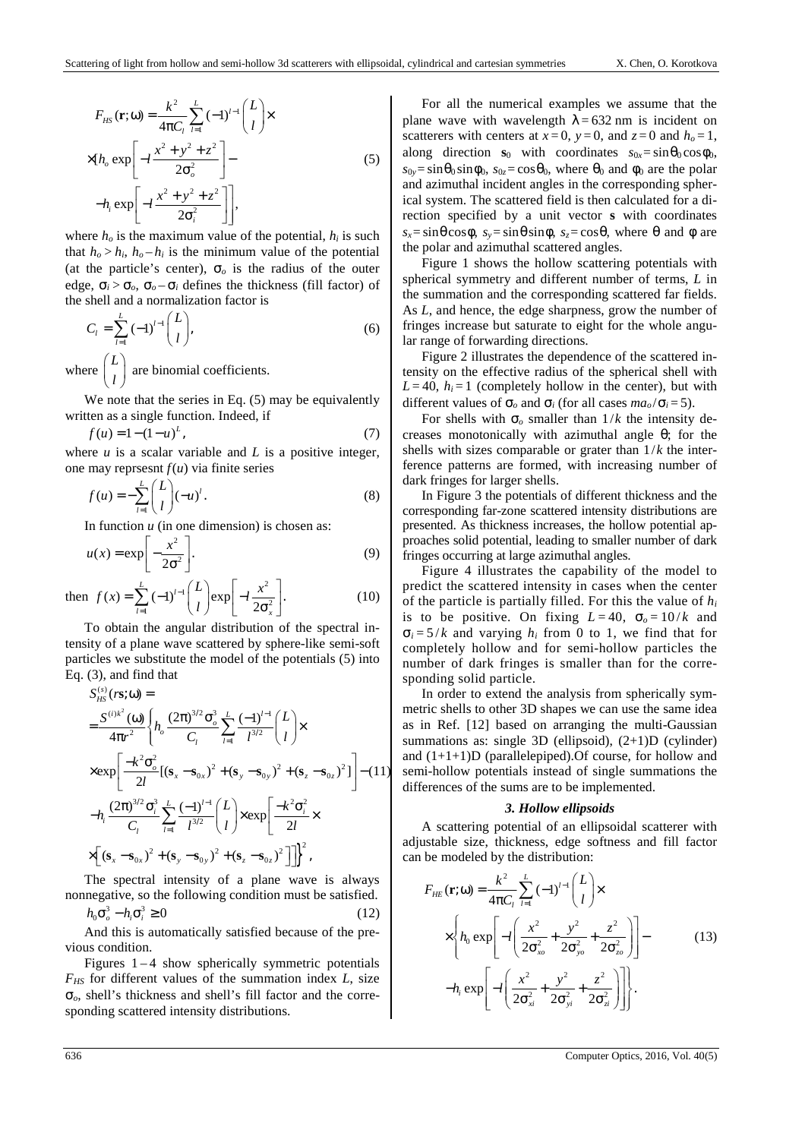$$
F_{HS}(\mathbf{r}; \omega) = \frac{k^2}{4\pi C_l} \sum_{l=1}^{L} (-1)^{l-1} {L \choose l} \times
$$
  
×[*h<sub>o</sub>* exp  $\left[ -l \frac{x^2 + y^2 + z^2}{2\sigma_o^2} \right] -$   
 $-h_i \exp \left[ -l \frac{x^2 + y^2 + z^2}{2\sigma_i^2} \right],$  (5)

where  $h<sub>o</sub>$  is the maximum value of the potential,  $h<sub>i</sub>$  is such that  $h_o > h_i$ ,  $h_o - h_i$  is the minimum value of the potential (at the particle's center),  $\sigma$ <sub>o</sub> is the radius of the outer edge,  $\sigma_i > \sigma_o$ ,  $\sigma_o - \sigma_i$  defines the thickness (fill factor) of the shell and a normalization factor is

$$
C_l = \sum_{l=1}^{L} (-1)^{l-1} \binom{L}{l},\tag{6}
$$

where  $\begin{pmatrix} L \\ L \end{pmatrix}$  $\begin{pmatrix} L \\ l \end{pmatrix}$  are binomial coefficients.

We note that the series in Eq.  $(5)$  may be equivalently written as a single function. Indeed, if

$$
f(u) = 1 - (1 - u)^{L}, \tag{7}
$$

where  $u$  is a scalar variable and  $L$  is a positive integer, one may reprsesnt  $f(u)$  via finite series

$$
f(u) = -\sum_{l=1}^{L} {L \choose l} (-u)^{l}.
$$
 (8)

In function  $u$  (in one dimension) is chosen as:

$$
u(x) = \exp\left[-\frac{x^2}{2\sigma^2}\right].
$$
 (9)

then 
$$
f(x) = \sum_{l=1}^{L} (-1)^{l-1} {L \choose l} exp\left[-l \frac{x^2}{2\sigma_x^2}\right].
$$
 (10)

To obtain the angular distribution of the spectral intensity of a plane wave scattered by sphere-like semi-soft particles we substitute the model of the potentials (5) into Eq. (3), and find that

$$
S_{HS}^{(s)}(\mathbf{r}\mathbf{s};\omega) =
$$
\n
$$
= \frac{S^{(i)k^{2}}(\omega)}{4\pi r^{2}} \left\{ h_{o} \frac{(2\pi)^{3/2} \sigma_{o}^{3}}{C_{l}} \sum_{l=1}^{L} \frac{(-1)^{l-1}}{l^{3/2}} \binom{L}{l} \times \right.
$$
\n
$$
\times \exp \left[ \frac{-k^{2} \sigma_{o}^{2}}{2l} \left[ (\mathbf{s}_{x} - \mathbf{s}_{0x})^{2} + (\mathbf{s}_{y} - \mathbf{s}_{0y})^{2} + (\mathbf{s}_{z} - \mathbf{s}_{0z})^{2} \right] \right] - (11)
$$
\n
$$
-h_{i} \frac{(2\pi)^{3/2} \sigma_{i}^{3}}{C_{l}} \sum_{l=1}^{L} \frac{(-1)^{l-1}}{l^{3/2}} \binom{L}{l} \times \exp \left[ \frac{-k^{2} \sigma_{i}^{2}}{2l} \times \left[ (\mathbf{s}_{x} - \mathbf{s}_{0x})^{2} + (\mathbf{s}_{y} - \mathbf{s}_{0y})^{2} + (\mathbf{s}_{z} - \mathbf{s}_{0z})^{2} \right] \right] \left\}^{2},
$$

The spectral intensity of a plane wave is always nonnegative, so the following condition must be satisfied.

$$
h_0 \sigma_o^3 - h_i \sigma_i^3 \ge 0 \tag{12}
$$

And this is automatically satisfied because of the previous condition.

Figures  $1 - 4$  show spherically symmetric potentials *FHS* for different values of the summation index *L*, size σ*o*, shell's thickness and shell's fill factor and the corresponding scattered intensity distributions.

For all the numerical examples we assume that the plane wave with wavelength  $\lambda = 632$  nm is incident on scatterers with centers at  $x=0$ ,  $y=0$ , and  $z=0$  and  $h<sub>o</sub>=1$ , along direction **s**<sub>0</sub> with coordinates  $s_{0x} = \sin \theta_0 \cos \phi_0$ ,  $s_{0y} = \sin \theta_0 \sin \phi_0$ ,  $s_{0z} = \cos \theta_0$ , where  $\theta_0$  and  $\phi_0$  are the polar and azimuthal incident angles in the corresponding spherical system. The scattered field is then calculated for a direction specified by a unit vector **s** with coordinates  $s_x = \sin\theta\cos\phi$ ,  $s_y = \sin\theta\sin\phi$ ,  $s_z = \cos\theta$ , where  $\theta$  and  $\phi$  are the polar and azimuthal scattered angles.

Figure 1 shows the hollow scattering potentials with spherical symmetry and different number of terms, *L* in the summation and the corresponding scattered far fields. As *L*, and hence, the edge sharpness, grow the number of fringes increase but saturate to eight for the whole angular range of forwarding directions.

Figure 2 illustrates the dependence of the scattered intensity on the effective radius of the spherical shell with  $L = 40$ ,  $h_i = 1$  (completely hollow in the center), but with different values of  $\sigma$ <sub>*o*</sub> and  $\sigma$ <sup>*i*</sup> (for all cases *ma<sub>o</sub>*/ $\sigma$ *i* = 5).

For shells with  $\sigma_o$  smaller than  $1/k$  the intensity decreases monotonically with azimuthal angle θ; for the shells with sizes comparable or grater than 1/*k* the interference patterns are formed, with increasing number of dark fringes for larger shells.

In Figure 3 the potentials of different thickness and the corresponding far-zone scattered intensity distributions are presented. As thickness increases, the hollow potential approaches solid potential, leading to smaller number of dark fringes occurring at large azimuthal angles.

Figure 4 illustrates the capability of the model to predict the scattered intensity in cases when the center of the particle is partially filled. For this the value of *h<sup>i</sup>* is to be positive. On fixing  $L = 40$ ,  $\sigma_o = 10/k$  and  $\sigma_i = 5/k$  and varying  $h_i$  from 0 to 1, we find that for completely hollow and for semi-hollow particles the number of dark fringes is smaller than for the corresponding solid particle.

In order to extend the analysis from spherically symmetric shells to other 3D shapes we can use the same idea as in Ref. [12] based on arranging the multi-Gaussian summations as: single 3D (ellipsoid),  $(2+1)D$  (cylinder) and  $(1+1+1)D$  (parallelepiped). Of course, for hollow and semi-hollow potentials instead of single summations the differences of the sums are to be implemented.

### *3. Hollow ellipsoids*

A scattering potential of an ellipsoidal scatterer with adjustable size, thickness, edge softness and fill factor can be modeled by the distribution:

$$
F_{HE}(\mathbf{r};\omega) = \frac{k^2}{4\pi C_l} \sum_{l=1}^{L} (-1)^{l-1} {L \choose l} \times
$$
  
 
$$
\times \left\{ h_0 \exp \left[ -l \left( \frac{x^2}{2\sigma_{xo}^2} + \frac{y^2}{2\sigma_{yo}^2} + \frac{z^2}{2\sigma_{zo}^2} \right) \right] - h_i \exp \left[ -l \left( \frac{x^2}{2\sigma_{xi}^2} + \frac{y^2}{2\sigma_{yi}^2} + \frac{z^2}{2\sigma_{zi}^2} \right) \right] \right\}.
$$
 (13)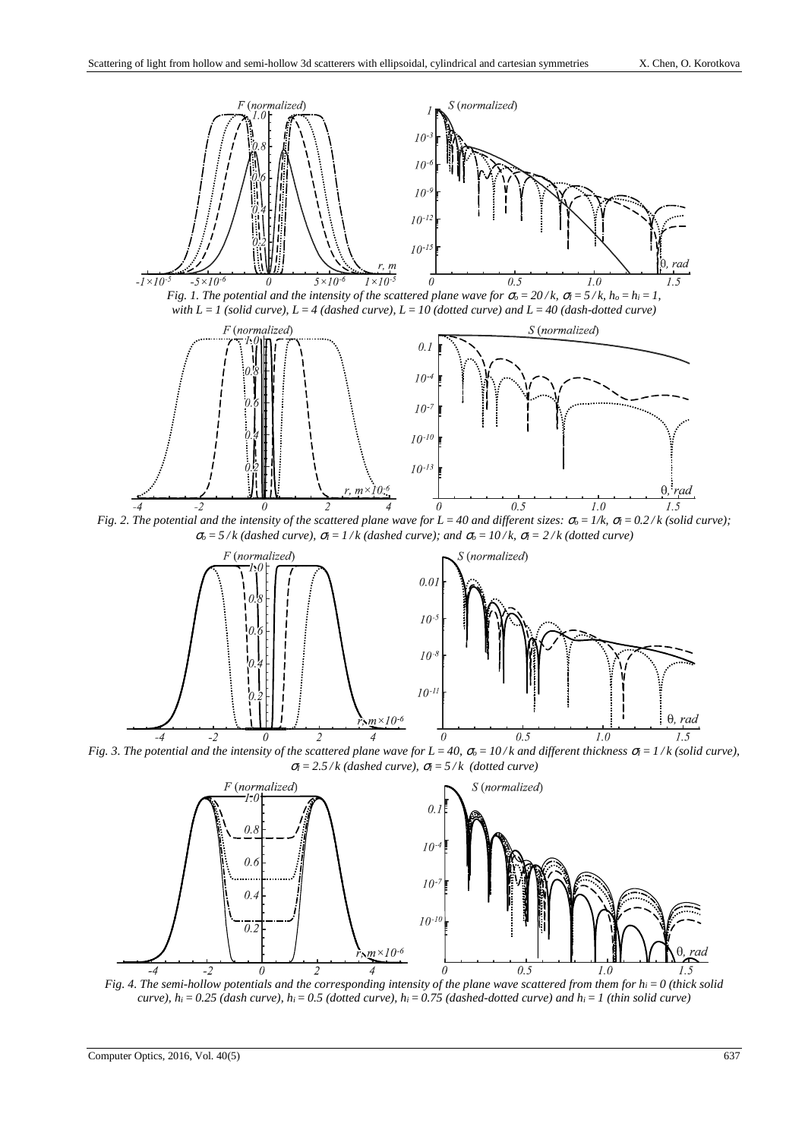





*Fig. 2. The potential and the intensity of the scattered plane wave for*  $L = 40$  *and different sizes:*  $\sigma_o = 1/k$ *,*  $\sigma_l = 0.2/k$  *(solid curve);*  $\sigma_0 = 5/k$  (dashed curve),  $\sigma_1 = 1/k$  (dashed curve); and  $\sigma_0 = 10/k$ ,  $\sigma_1 = 2/k$  (dotted curve)



*Fig. 3. The potential and the intensity of the scattered plane wave for*  $L = 40$ *,*  $\sigma_o = 10/k$  *and different thickness*  $\sigma_l = 1/k$  *(solid curve),*  $\sigma = 2.5 / k$  (dashed curve),  $\sigma = 5 / k$  (dotted curve)



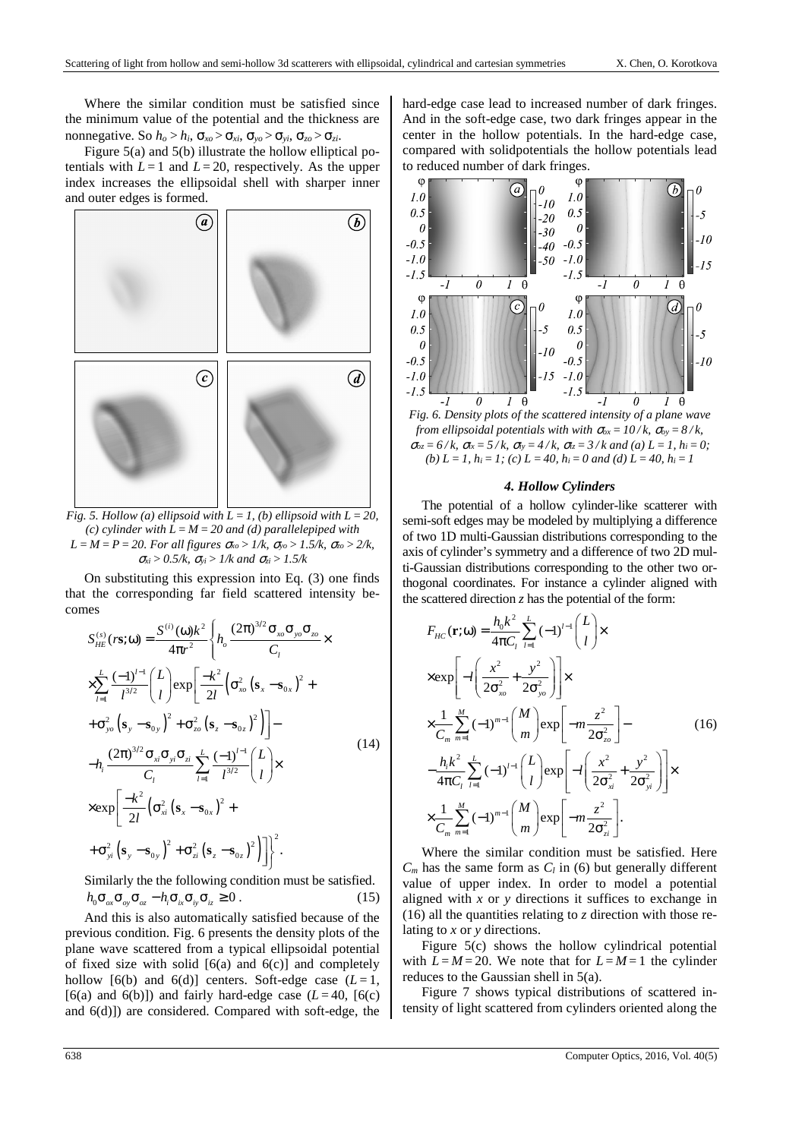Where the similar condition must be satisfied since the minimum value of the potential and the thickness are nonnegative. So  $h_o > h_i$ ,  $\sigma_{xo} > \sigma_{xi}$ ,  $\sigma_{vo} > \sigma_{vi}$ ,  $\sigma_{zo} > \sigma_{zi}$ .

Figure 5(a) and 5(b) illustrate the hollow elliptical potentials with  $L = 1$  and  $L = 20$ , respectively. As the upper index increases the ellipsoidal shell with sharper inner and outer edges is formed.



*Fig. 5. Hollow (a) ellipsoid with L* = 1, *(b) ellipsoid with L* = 20, *(c) cylinder with L= M =20 and (d) parallelepiped with L = M =P=20. For all figures* <sup>σ</sup>*xo >1/k,* <sup>σ</sup>*yo >1.5/k,* <sup>σ</sup>*zo > 2/k,*  <sup>σ</sup>*xi > 0.5/k,* <sup>σ</sup>*yi > 1/k and* <sup>σ</sup>*zi > 1.5/k*

On substituting this expression into Eq. (3) one finds that the corresponding far field scattered intensity becomes

$$
S_{HE}^{(s)}(r\mathbf{s};\omega) = \frac{S^{(i)}(\omega)k^{2}}{4\pi r^{2}} \left\{ h_{o} \frac{(2\pi)^{3/2} \sigma_{xo} \sigma_{yo} \sigma_{zo}}{C_{l}} \times \frac{\sum_{l=1}^{L} \frac{(-1)^{l-1}}{l^{3/2}} \left( L \right) \exp\left[ \frac{-k^{2}}{2l} \left( \sigma_{xo}^{2} \left( \mathbf{s}_{x} - \mathbf{s}_{0x} \right)^{2} + \sigma_{yo}^{2} \left( \mathbf{s}_{y} - \mathbf{s}_{0y} \right)^{2} + \sigma_{zo}^{2} \left( \mathbf{s}_{z} - \mathbf{s}_{0z} \right)^{2} \right) \right] - h_{i} \frac{(2\pi)^{3/2} \sigma_{xi} \sigma_{yi} \sigma_{zi}}{C_{l}} \sum_{l=1}^{L} \frac{(-1)^{l-1}}{l^{3/2}} {L \choose l} \times \exp\left[ \frac{-k^{2}}{2l} \left( \sigma_{xi}^{2} \left( \mathbf{s}_{x} - \mathbf{s}_{0x} \right)^{2} + \sigma_{yi}^{2} \left( \mathbf{s}_{y} - \mathbf{s}_{0y} \right)^{2} + \sigma_{yi}^{2} \left( \mathbf{s}_{y} - \mathbf{s}_{0z} \right)^{2} \right) \right] \right\}^{2}.
$$
\n(14)

Similarly the the following condition must be satisfied.  $h_0 \sigma_{\alpha x} \sigma_{\alpha y} \sigma_{\alpha z} - h_i \sigma_{ix} \sigma_{iy} \sigma_{iz} \ge 0$ . (15)

And this is also automatically satisfied because of the previous condition. Fig. 6 presents the density plots of the plane wave scattered from a typical ellipsoidal potential of fixed size with solid  $[6(a)$  and  $6(c)]$  and completely hollow  $[6(b)$  and  $6(d)$ ] centers. Soft-edge case  $(L=1,$ [6(a) and 6(b)]) and fairly hard-edge case  $(L=40, [6(c)]$ and 6(d)]) are considered. Compared with soft-edge, the hard-edge case lead to increased number of dark fringes. And in the soft-edge case, two dark fringes appear in the center in the hollow potentials. In the hard-edge case, compared with solidpotentials the hollow potentials lead to reduced number of dark fringes.



*Fig. 6. Density plots of the scattered intensity of a plane wave from ellipsoidal potentials with with*  $\sigma_{ox} = 10/k$ *,*  $\sigma_{oy} = 8/k$ *,*  $\sigma_{0z} = 6/k$ ,  $\sigma_{ix} = 5/k$ ,  $\sigma_{iy} = 4/k$ ,  $\sigma_{iz} = 3/k$  and (a)  $L = 1$ ,  $h_i = 0$ ; (b)  $L = 1$ ,  $h_i = 1$ ; (c)  $L = 40$ ,  $h_i = 0$  and (d)  $L = 40$ ,  $h_i = 1$ 

#### *4. Hollow Cylinders*

The potential of a hollow cylinder-like scatterer with semi-soft edges may be modeled by multiplying a difference of two 1D multi-Gaussian distributions corresponding to the axis of cylinder's symmetry and a difference of two 2D multi-Gaussian distributions corresponding to the other two orthogonal coordinates. For instance a cylinder aligned with the scattered direction  $z$  has the potential of the form:

$$
F_{HC}(\mathbf{r};\omega) = \frac{h_0 k^2}{4\pi C_l} \sum_{l=1}^{L} (-1)^{l-1} {L \choose l} \times
$$
  
\n
$$
\times \exp\left[-l\left(\frac{x^2}{2\sigma_{xo}^2} + \frac{y^2}{2\sigma_{yo}^2}\right)\right] \times
$$
  
\n
$$
\times \frac{1}{C_m} \sum_{m=1}^{M} (-1)^{m-1} {M \choose m} \exp\left[-m\frac{z^2}{2\sigma_{zo}^2}\right] -
$$
  
\n
$$
-\frac{h_l k^2}{4\pi C_l} \sum_{l=1}^{L} (-1)^{l-1} {L \choose l} \exp\left[-l\left(\frac{x^2}{2\sigma_{xa}^2} + \frac{y^2}{2\sigma_{ya}^2}\right)\right] \times
$$
  
\n
$$
\times \frac{1}{C_m} \sum_{m=1}^{M} (-1)^{m-1} {M \choose m} \exp\left[-m\frac{z^2}{2\sigma_{zi}^2}\right].
$$
 (16)

Where the similar condition must be satisfied. Here  $C_m$  has the same form as  $C_l$  in (6) but generally different value of upper index. In order to model a potential aligned with *x* or *y* directions it suffices to exchange in (16) all the quantities relating to *z* direction with those relating to *x* or *y* directions.

Figure 5(c) shows the hollow cylindrical potential with  $L = M = 20$ . We note that for  $L = M = 1$  the cylinder reduces to the Gaussian shell in 5(a).

Figure 7 shows typical distributions of scattered intensity of light scattered from cylinders oriented along the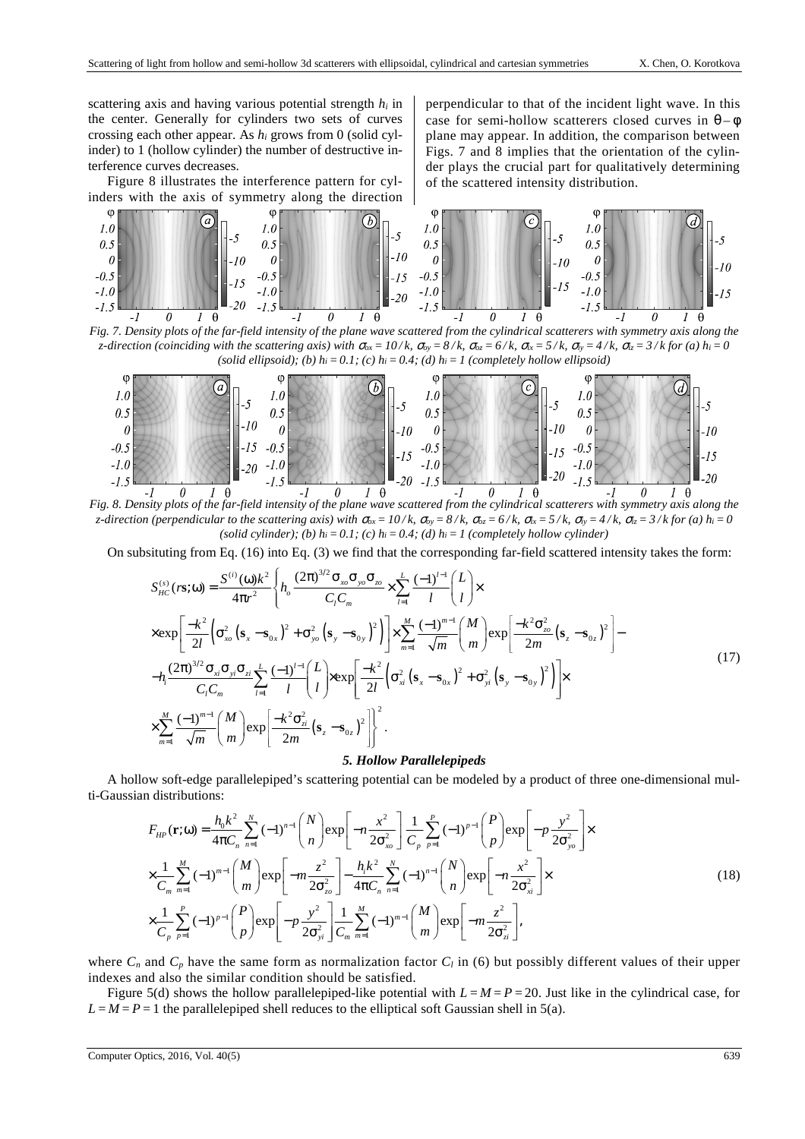scattering axis and having various potential strength *hi* in the center. Generally for cylinders two sets of curves crossing each other appear. As *hi* grows from 0 (solid cylinder) to 1 (hollow cylinder) the number of destructive interference curves decreases.

Figure 8 illustrates the interference pattern for cylinders with the axis of symmetry along the direction perpendicular to that of the incident light wave. In this case for semi-hollow scatterers closed curves in  $\theta - \phi$ plane may appear. In addition, the comparison between Figs. 7 and 8 implies that the orientation of the cylinder plays the crucial part for qualitatively determining of the scattered intensity distribution.



*Fig. 7. Density plots of the far-field intensity of the plane wave scattered from the cylindrical scatterers with symmetry axis along the*  z-direction (coinciding with the scattering axis) with  $\sigma_{\alpha x} = 10/k$ ,  $\sigma_{\alpha y} = 8/k$ ,  $\sigma_{\alpha z} = 6/k$ ,  $\sigma_{\alpha x} = 5/k$ ,  $\sigma_{\alpha y} = 4/k$ ,  $\sigma_{\alpha z} = 3/k$  for (a)  $h_i = 0$ *(solid ellipsoid); (b)*  $h_i = 0.1$ ; *(c)*  $h_i = 0.4$ ; *(d)*  $h_i = 1$  *(completely hollow ellipsoid)* 



*Fig. 8. Density plots of the far-field intensity of the plane wave scattered from the cylindrical scatterers with symmetry axis along the*  z-direction (perpendicular to the scattering axis) with  $\sigma_{ox} = 10/k$ ,  $\sigma_{ox} = 8/k$ ,  $\sigma_{ox} = 6/k$ ,  $\sigma_{ix} = 5/k$ ,  $\sigma_{ix} = 4/k$ ,  $\sigma_{iz} = 3/k$  for (a)  $h_i = 0$ *(solid cylinder); (b)*  $h_i = 0.1$ ; *(c)*  $h_i = 0.4$ ; *(d)*  $h_i = 1$  *(completely hollow cylinder)* 

On subsituting from Eq. (16) into Eq. (3) we find that the corresponding far-field scattered intensity takes the form:

$$
S_{HC}^{(s)}(r\mathbf{s};\omega) = \frac{S^{(i)}(\omega)k^{2}}{4\pi r^{2}} \left\{ h_{o} \frac{(2\pi)^{3/2} \sigma_{xo} \sigma_{yo} \sigma_{zo}}{C_{l} C_{m}} \times \sum_{l=1}^{L} \frac{(-1)^{l-1}}{l} {L \choose l} \times \right.
$$
  
\n
$$
\times \exp \left[ \frac{-k^{2}}{2l} \left( \sigma_{xo}^{2} (\mathbf{s}_{x} - \mathbf{s}_{0x})^{2} + \sigma_{yo}^{2} (\mathbf{s}_{y} - \mathbf{s}_{0y})^{2} \right) \right] \times \sum_{m=1}^{M} \frac{(-1)^{m-1}}{\sqrt{m}} {M \choose m} \exp \left[ \frac{-k^{2} \sigma_{zo}^{2}}{2m} (\mathbf{s}_{z} - \mathbf{s}_{0z})^{2} \right] -
$$
  
\n
$$
-h_{i} \frac{(2\pi)^{3/2} \sigma_{xi} \sigma_{yi} \sigma_{zi}}{C_{l} C_{m}} \sum_{l=1}^{L} \frac{(-1)^{l-1}}{l} {L \choose l} \times \exp \left[ \frac{-k^{2}}{2l} \left( \sigma_{xl}^{2} (\mathbf{s}_{x} - \mathbf{s}_{0x})^{2} + \sigma_{yi}^{2} (\mathbf{s}_{y} - \mathbf{s}_{0y})^{2} \right) \right] \times \sum_{m=1}^{M} \frac{(-1)^{m-1}}{\sqrt{m}} {M \choose m} \exp \left[ \frac{-k^{2} \sigma_{zi}^{2}}{2m} (\mathbf{s}_{z} - \mathbf{s}_{0z})^{2} \right] \right]^{2}.
$$
  
\n(17)

# *5. Hollow Parallelepipeds*

A hollow soft-edge parallelepiped's scattering potential can be modeled by a product of three one-dimensional multi-Gaussian distributions:

$$
F_{HP}(\mathbf{r};\omega) = \frac{h_0 k^2}{4\pi C_n} \sum_{n=1}^{N} (-1)^{n-1} {N \choose n} \exp\left[-n\frac{x^2}{2\sigma_{xo}^2}\right] \frac{1}{C_p} \sum_{p=1}^{P} (-1)^{p-1} {P \choose p} \exp\left[-p\frac{y^2}{2\sigma_{yo}^2}\right] \times
$$
  
\n
$$
\times \frac{1}{C_m} \sum_{m=1}^{M} (-1)^{m-1} {M \choose m} \exp\left[-m\frac{z^2}{2\sigma_{zo}^2}\right] - \frac{h_i k^2}{4\pi C_n} \sum_{n=1}^{N} (-1)^{n-1} {N \choose n} \exp\left[-n\frac{x^2}{2\sigma_{xa}^2}\right] \times
$$
  
\n
$$
\times \frac{1}{C_p} \sum_{p=1}^{P} (-1)^{p-1} {P \choose p} \exp\left[-p\frac{y^2}{2\sigma_{yi}^2}\right] \frac{1}{C_m} \sum_{m=1}^{M} (-1)^{m-1} {M \choose m} \exp\left[-m\frac{z^2}{2\sigma_{zi}^2}\right],
$$
  
\n(18)

where  $C_n$  and  $C_p$  have the same form as normalization factor  $C_l$  in (6) but possibly different values of their upper indexes and also the similar condition should be satisfied.

Figure 5(d) shows the hollow parallelepiped-like potential with  $L=M=P=20$ . Just like in the cylindrical case, for  $L=M=P=1$  the parallelepiped shell reduces to the elliptical soft Gaussian shell in 5(a).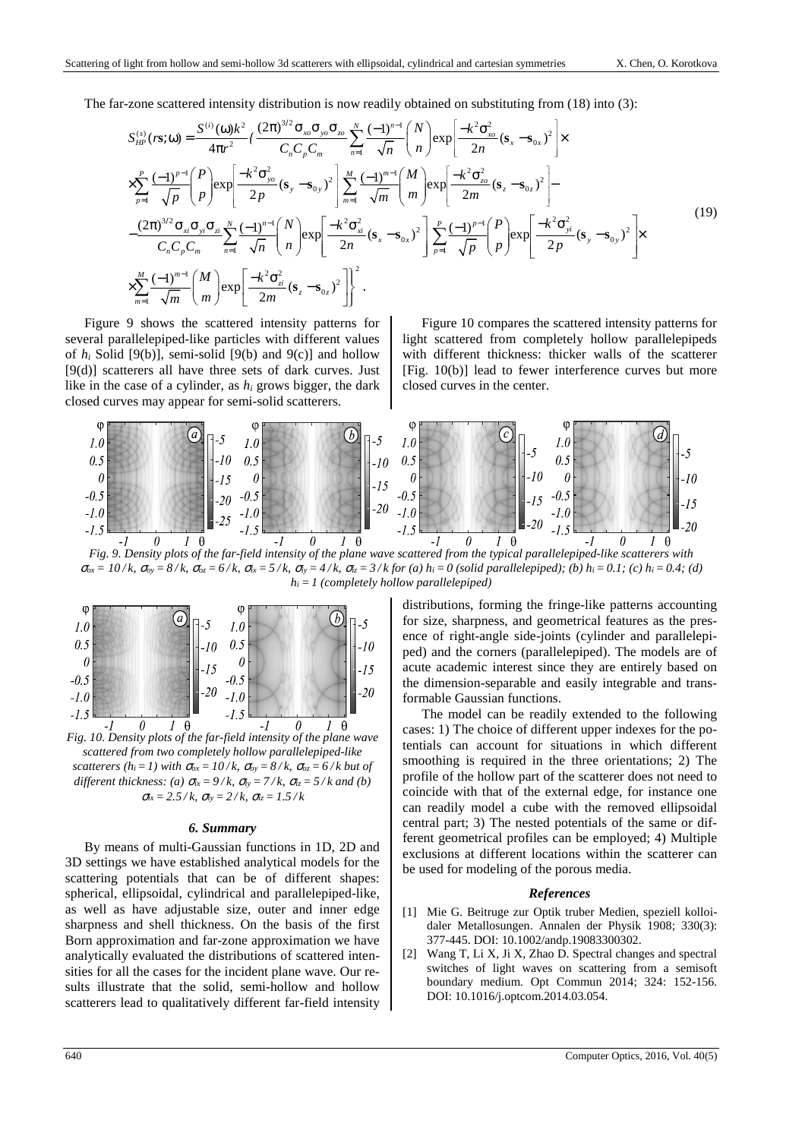The far-zone scattered intensity distribution is now readily obtained on substituting from (18) into (3):

$$
S_{HP}^{(s)}(r\mathbf{s};\omega) = \frac{S^{(i)}(\omega)k^{2}}{4\pi r^{2}} \left\{ \frac{(2\pi)^{3/2} \sigma_{xo} \sigma_{yo} \sigma_{zo}}{C_{n} C_{p} C_{m}} \sum_{n=1}^{N} \frac{(-1)^{n-1}}{\sqrt{n}} {N \choose n} \exp\left[ \frac{-k^{2} \sigma_{xo}^{2}}{2n} (\mathbf{s}_{x} - \mathbf{s}_{0x})^{2} \right] \times \times \sum_{p=1}^{P} \frac{(-1)^{p-1}}{\sqrt{p}} {P \choose p} \exp\left[ \frac{-k^{2} \sigma_{yo}^{2}}{2p} (\mathbf{s}_{y} - \mathbf{s}_{0y})^{2} \right] \sum_{m=1}^{M} \frac{(-1)^{m-1}}{\sqrt{m}} {M \choose m} \exp\left[ \frac{-k^{2} \sigma_{zo}^{2}}{2m} (\mathbf{s}_{z} - \mathbf{s}_{0z})^{2} \right] - \frac{(2\pi)^{3/2} \sigma_{x1} \sigma_{y1} \sigma_{z1} N_{y1} \sigma_{z2} N_{y1} \sigma_{z1} N_{z1} \sqrt{n}}{C_{n} C_{p} C_{m}} \sum_{n=1}^{N} \frac{(-1)^{n-1}}{\sqrt{n}} {N \choose n} \exp\left[ \frac{-k^{2} \sigma_{xa}^{2}}{2n} (\mathbf{s}_{x} - \mathbf{s}_{0x})^{2} \right] \sum_{p=1}^{P} \frac{(-1)^{p-1}}{\sqrt{p}} {P \choose p} \exp\left[ \frac{-k^{2} \sigma_{yi}^{2}}{2p} (\mathbf{s}_{y} - \mathbf{s}_{0y})^{2} \right] \times \sum_{m=1}^{M} \frac{(-1)^{m-1}}{\sqrt{m}} {M \choose m} \exp\left[ \frac{-k^{2} \sigma_{zi}^{2}}{2m} (\mathbf{s}_{z} - \mathbf{s}_{0z})^{2} \right] \right\}.
$$
\n(19)

Figure 9 shows the scattered intensity patterns for several parallelepiped-like particles with different values of  $h_i$  Solid [9(b)], semi-solid [9(b) and 9(c)] and hollow [9(d)] scatterers all have three sets of dark curves. Just like in the case of a cylinder, as *hi* grows bigger, the dark closed curves may appear for semi-solid scatterers.

Figure 10 compares the scattered intensity patterns for light scattered from completely hollow parallelepipeds with different thickness: thicker walls of the scatterer [Fig. 10(b)] lead to fewer interference curves but more closed curves in the center.



*Fig. 9. Density plots of the far-field intensity of the plane wave scattered from the typical parallelepiped-like scatterers with*   $\sigma_{ox} = 10/k$ ,  $\sigma_{oy} = 8/k$ ,  $\sigma_{oz} = 6/k$ ,  $\sigma_{ix} = 5/k$ ,  $\sigma_{iy} = 4/k$ ,  $\sigma_{iz} = 3/k$  for (a)  $h_i = 0$  (solid parallelepiped); (b)  $h_i = 0.1$ ; (c)  $h_i = 0.4$ ; (d)  $h_i = 1$  (completely hollow parallelepiped)



*Fig. 10. Density plots of the far-field intensity of the plane wave scattered from two completely hollow parallelepiped-like scatterers*  $(h_i = 1)$  with  $\sigma_{ox} = 10/k$ ,  $\sigma_{ox} = 8/k$ ,  $\sigma_{ox} = 6/k$  but of *different thickness: (a)*  $\sigma_{ix} = \frac{9}{k}$ ,  $\sigma_{iy} = \frac{7}{k}$ ,  $\sigma_{iz} = \frac{5}{k}$  and (b)  $\sigma_{ix} = 2.5 / k$ ,  $\sigma_{iy} = 2 / k$ ,  $\sigma_{iz} = 1.5 / k$ 

### *6. Summary*

By means of multi-Gaussian functions in 1D, 2D and 3D settings we have established analytical models for the scattering potentials that can be of different shapes: spherical, ellipsoidal, cylindrical and parallelepiped-like, as well as have adjustable size, outer and inner edge sharpness and shell thickness. On the basis of the first Born approximation and far-zone approximation we have analytically evaluated the distributions of scattered intensities for all the cases for the incident plane wave. Our results illustrate that the solid, semi-hollow and hollow scatterers lead to qualitatively different far-field intensity distributions, forming the fringe-like patterns accounting for size, sharpness, and geometrical features as the presence of right-angle side-joints (cylinder and parallelepiped) and the corners (parallelepiped). The models are of acute academic interest since they are entirely based on the dimension-separable and easily integrable and transformable Gaussian functions.

The model can be readily extended to the following cases: 1) The choice of different upper indexes for the potentials can account for situations in which different smoothing is required in the three orientations; 2) The profile of the hollow part of the scatterer does not need to coincide with that of the external edge, for instance one can readily model a cube with the removed ellipsoidal central part; 3) The nested potentials of the same or different geometrical profiles can be employed; 4) Multiple exclusions at different locations within the scatterer can be used for modeling of the porous media.

#### *References*

- [1] Mie G. Beitruge zur Optik truber Medien, speziell kolloidaler Metallosungen. Annalen der Physik 1908; 330(3): 377-445. DOI: 10.1002/andp.19083300302.
- [2] Wang T, Li X, Ji X, Zhao D. Spectral changes and spectral switches of light waves on scattering from a semisoft boundary medium. Opt Commun 2014; 324: 152-156. DOI: 10.1016/j.optcom.2014.03.054.